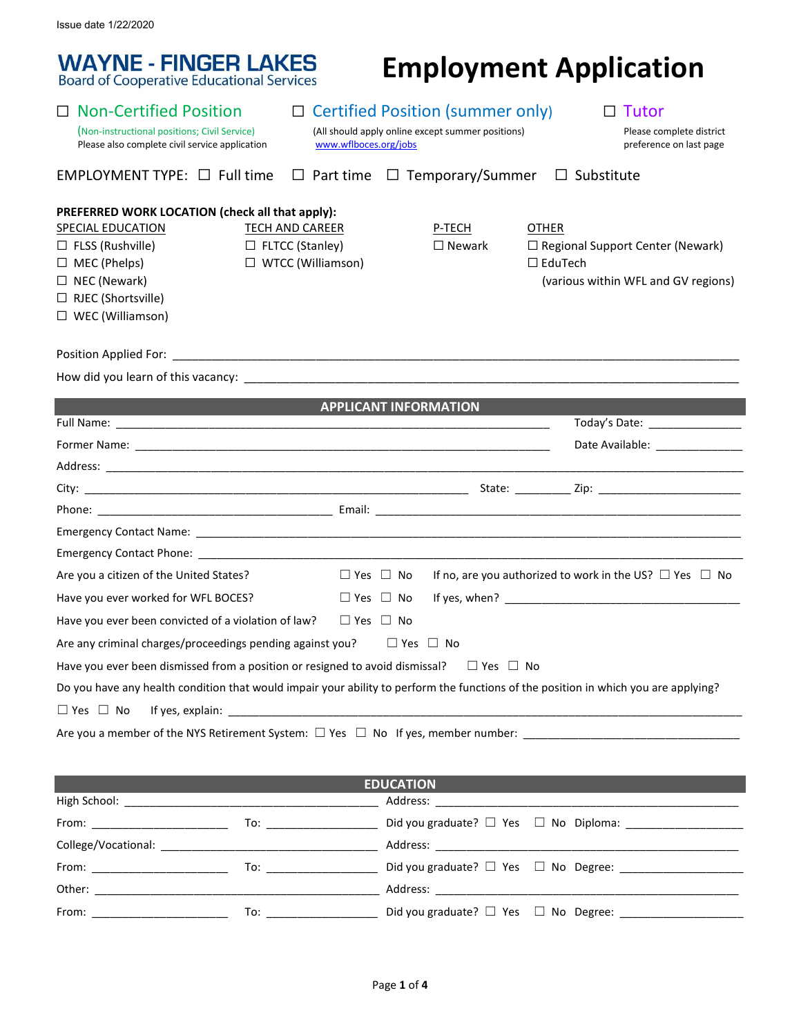**WAYNE - FINGER LAKES**<br>Board of Cooperative Educational Services

# **Employment Application**

| <b>Non-Certified Position</b><br>(Non-instructional positions; Civil Service)<br>Please also complete civil service application                                                                              | www.wflboces.org/jobs                                                        | $\Box$ Certified Position (summer only)<br>(All should apply online except summer positions) | $\Box$ Tutor<br>Please complete district<br>preference on last page                                              |  |  |
|--------------------------------------------------------------------------------------------------------------------------------------------------------------------------------------------------------------|------------------------------------------------------------------------------|----------------------------------------------------------------------------------------------|------------------------------------------------------------------------------------------------------------------|--|--|
| EMPLOYMENT TYPE: $\Box$ Full time                                                                                                                                                                            |                                                                              | $\Box$ Part time $\Box$ Temporary/Summer                                                     | $\Box$ Substitute                                                                                                |  |  |
| PREFERRED WORK LOCATION (check all that apply):<br><b>SPECIAL EDUCATION</b><br>$\Box$ FLSS (Rushville)<br>$\Box$ MEC (Phelps)<br>$\Box$ NEC (Newark)<br>$\Box$ RJEC (Shortsville)<br>$\Box$ WEC (Williamson) | <b>TECH AND CAREER</b><br>$\Box$ FLTCC (Stanley)<br>$\Box$ WTCC (Williamson) | P-TECH<br>$\Box$ Newark                                                                      | <b>OTHER</b><br>$\Box$ Regional Support Center (Newark)<br>$\Box$ EduTech<br>(various within WFL and GV regions) |  |  |
|                                                                                                                                                                                                              |                                                                              |                                                                                              |                                                                                                                  |  |  |
|                                                                                                                                                                                                              |                                                                              |                                                                                              |                                                                                                                  |  |  |
| <u> 1989 - Johann Barnett, fransk politik (</u>                                                                                                                                                              |                                                                              | <b>APPLICANT INFORMATION</b>                                                                 |                                                                                                                  |  |  |
|                                                                                                                                                                                                              |                                                                              |                                                                                              | Today's Date: ________________                                                                                   |  |  |
|                                                                                                                                                                                                              |                                                                              |                                                                                              | Date Available: _______________                                                                                  |  |  |
|                                                                                                                                                                                                              |                                                                              |                                                                                              |                                                                                                                  |  |  |
|                                                                                                                                                                                                              |                                                                              |                                                                                              |                                                                                                                  |  |  |
|                                                                                                                                                                                                              |                                                                              |                                                                                              |                                                                                                                  |  |  |
|                                                                                                                                                                                                              |                                                                              |                                                                                              |                                                                                                                  |  |  |
|                                                                                                                                                                                                              |                                                                              |                                                                                              |                                                                                                                  |  |  |
| Are you a citizen of the United States?                                                                                                                                                                      | $\Box$ Yes $\Box$ No                                                         |                                                                                              | If no, are you authorized to work in the US? $\Box$ Yes $\Box$ No                                                |  |  |
| Have you ever worked for WFL BOCES?                                                                                                                                                                          | $\Box$ Yes $\Box$ No                                                         |                                                                                              |                                                                                                                  |  |  |
| Have you ever been convicted of a violation of law?                                                                                                                                                          | $\Box$ Yes $\Box$ No                                                         |                                                                                              |                                                                                                                  |  |  |
| Are any criminal charges/proceedings pending against you? $\Box$ Yes $\Box$ No                                                                                                                               |                                                                              |                                                                                              |                                                                                                                  |  |  |
| Have you ever been dismissed from a position or resigned to avoid dismissal? $\square$ Yes $\square$ No                                                                                                      |                                                                              |                                                                                              |                                                                                                                  |  |  |
| Do you have any health condition that would impair your ability to perform the functions of the position in which you are applying?                                                                          |                                                                              |                                                                                              |                                                                                                                  |  |  |
| $\Box$ Yes $\Box$ No                                                                                                                                                                                         |                                                                              |                                                                                              |                                                                                                                  |  |  |
|                                                                                                                                                                                                              |                                                                              |                                                                                              |                                                                                                                  |  |  |
|                                                                                                                                                                                                              |                                                                              |                                                                                              |                                                                                                                  |  |  |
|                                                                                                                                                                                                              |                                                                              | <b>EDUCATION</b>                                                                             |                                                                                                                  |  |  |

| <b>EDUCATION</b>                |                                                                                                                                                                                                                                                                                                                                   |                                                  |  |  |  |  |
|---------------------------------|-----------------------------------------------------------------------------------------------------------------------------------------------------------------------------------------------------------------------------------------------------------------------------------------------------------------------------------|--------------------------------------------------|--|--|--|--|
|                                 |                                                                                                                                                                                                                                                                                                                                   |                                                  |  |  |  |  |
|                                 | $\overline{a}$ To: the state $\overline{a}$ and $\overline{a}$ and $\overline{a}$ and $\overline{a}$ and $\overline{a}$ and $\overline{a}$ and $\overline{a}$ and $\overline{a}$ and $\overline{a}$ and $\overline{a}$ and $\overline{a}$ and $\overline{a}$ and $\overline{a}$ and $\overline{a}$ and $\overline{a}$ and $\over$ |                                                  |  |  |  |  |
|                                 |                                                                                                                                                                                                                                                                                                                                   |                                                  |  |  |  |  |
|                                 | $\overline{a}$ To: the state $\overline{a}$ and $\overline{a}$ and $\overline{a}$ and $\overline{a}$ and $\overline{a}$ and $\overline{a}$ and $\overline{a}$ and $\overline{a}$ and $\overline{a}$ and $\overline{a}$ and $\overline{a}$ and $\overline{a}$ and $\overline{a}$ and $\overline{a}$ and $\overline{a}$ and $\over$ |                                                  |  |  |  |  |
|                                 |                                                                                                                                                                                                                                                                                                                                   |                                                  |  |  |  |  |
| From: _________________________ | To: ____________________                                                                                                                                                                                                                                                                                                          | Did you graduate? □ Yes □ No Degree: ___________ |  |  |  |  |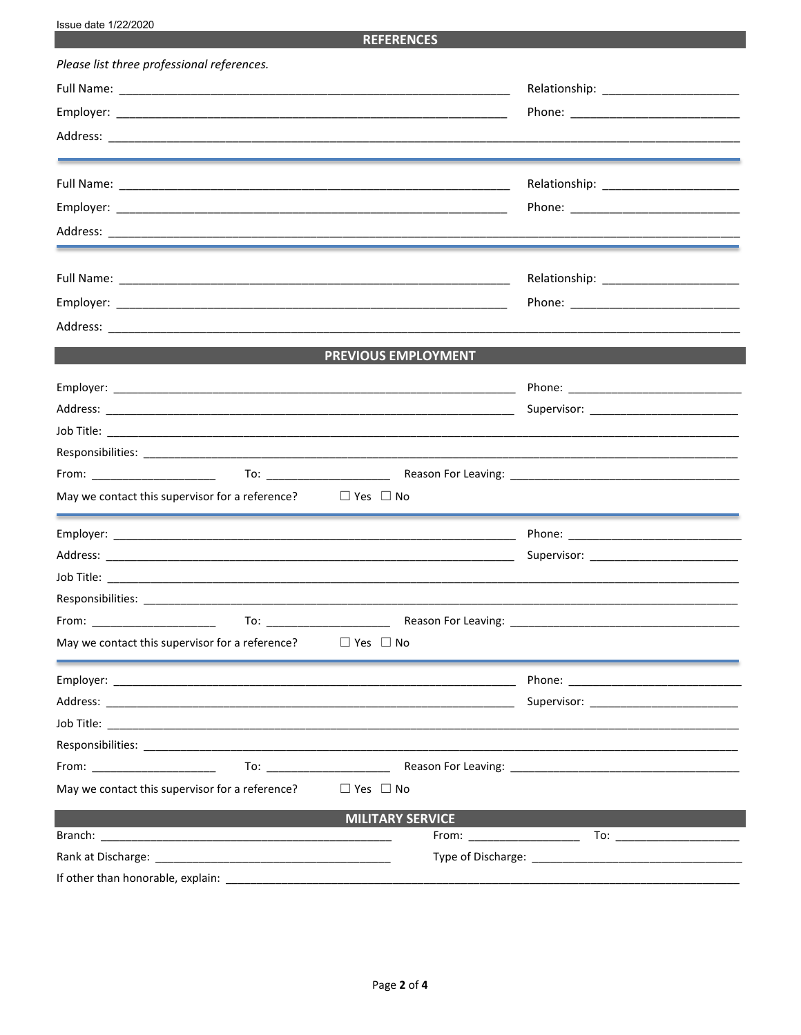**REFERENCES** 

| Please list three professional references.                           |                         |                      |  |
|----------------------------------------------------------------------|-------------------------|----------------------|--|
|                                                                      |                         |                      |  |
|                                                                      |                         |                      |  |
|                                                                      |                         |                      |  |
|                                                                      |                         |                      |  |
|                                                                      |                         |                      |  |
|                                                                      |                         |                      |  |
|                                                                      |                         |                      |  |
|                                                                      |                         |                      |  |
|                                                                      |                         |                      |  |
|                                                                      |                         |                      |  |
|                                                                      | PREVIOUS EMPLOYMENT     |                      |  |
|                                                                      |                         |                      |  |
|                                                                      |                         |                      |  |
|                                                                      |                         |                      |  |
|                                                                      |                         |                      |  |
|                                                                      |                         |                      |  |
| May we contact this supervisor for a reference? $\Box$ Yes $\Box$ No |                         |                      |  |
|                                                                      |                         |                      |  |
|                                                                      |                         |                      |  |
|                                                                      |                         |                      |  |
|                                                                      |                         |                      |  |
|                                                                      |                         |                      |  |
| May we contact this supervisor for a reference? $\Box$ Yes $\Box$ No |                         |                      |  |
|                                                                      |                         |                      |  |
|                                                                      |                         |                      |  |
|                                                                      |                         |                      |  |
|                                                                      |                         |                      |  |
| From: ________________________                                       |                         |                      |  |
| May we contact this supervisor for a reference?                      | $\Box$ Yes $\Box$ No    |                      |  |
|                                                                      | <b>MILITARY SERVICE</b> |                      |  |
|                                                                      |                         | $From: ____________$ |  |
|                                                                      |                         |                      |  |
| If other than honorable, explain:                                    |                         |                      |  |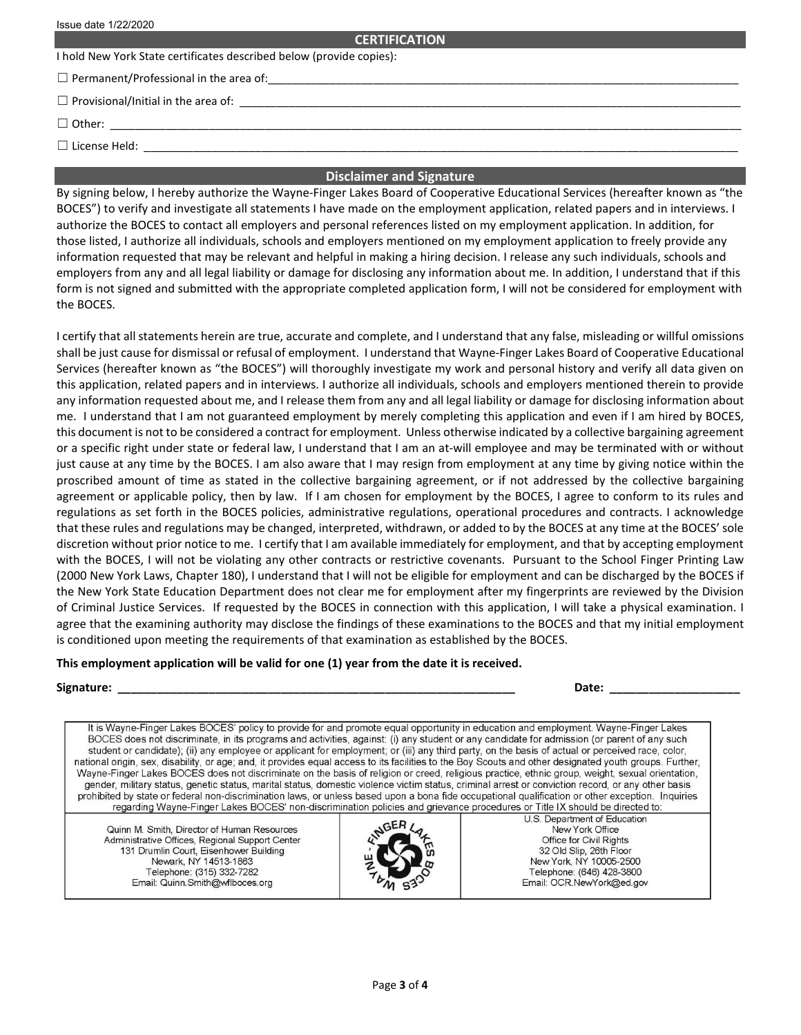#### **CERTIFICATION**

I hold New York State certificates described below (provide copies):

 $\Box$  Permanent/Professional in the area of:

☐ Provisional/Initial in the area of: \_\_\_\_\_\_\_\_\_\_\_\_\_\_\_\_\_\_\_\_\_\_\_\_\_\_\_\_\_\_\_\_\_\_\_\_\_\_\_\_\_\_\_\_\_\_\_\_\_\_\_\_\_\_\_\_\_\_\_\_\_\_\_\_\_\_\_\_\_\_\_\_\_\_\_\_\_\_\_\_\_

☐ Other: \_\_\_\_\_\_\_\_\_\_\_\_\_\_\_\_\_\_\_\_\_\_\_\_\_\_\_\_\_\_\_\_\_\_\_\_\_\_\_\_\_\_\_\_\_\_\_\_\_\_\_\_\_\_\_\_\_\_\_\_\_\_\_\_\_\_\_\_\_\_\_\_\_\_\_\_\_\_\_\_\_\_\_\_\_\_\_\_\_\_\_\_\_\_\_\_\_\_\_\_\_\_

 $\Box$  License Held:

## **Disclaimer and Signature**

By signing below, I hereby authorize the Wayne-Finger Lakes Board of Cooperative Educational Services (hereafter known as "the BOCES") to verify and investigate all statements I have made on the employment application, related papers and in interviews. I authorize the BOCES to contact all employers and personal references listed on my employment application. In addition, for those listed, I authorize all individuals, schools and employers mentioned on my employment application to freely provide any information requested that may be relevant and helpful in making a hiring decision. I release any such individuals, schools and employers from any and all legal liability or damage for disclosing any information about me. In addition, I understand that if this form is not signed and submitted with the appropriate completed application form, I will not be considered for employment with the BOCES.

I certify that all statements herein are true, accurate and complete, and I understand that any false, misleading or willful omissions shall be just cause for dismissal or refusal of employment. I understand that Wayne-Finger Lakes Board of Cooperative Educational Services (hereafter known as "the BOCES") will thoroughly investigate my work and personal history and verify all data given on this application, related papers and in interviews. I authorize all individuals, schools and employers mentioned therein to provide any information requested about me, and I release them from any and all legal liability or damage for disclosing information about me. I understand that I am not guaranteed employment by merely completing this application and even if I am hired by BOCES, this document is not to be considered a contract for employment. Unless otherwise indicated by a collective bargaining agreement or a specific right under state or federal law, I understand that I am an at-will employee and may be terminated with or without just cause at any time by the BOCES. I am also aware that I may resign from employment at any time by giving notice within the proscribed amount of time as stated in the collective bargaining agreement, or if not addressed by the collective bargaining agreement or applicable policy, then by law. If I am chosen for employment by the BOCES, I agree to conform to its rules and regulations as set forth in the BOCES policies, administrative regulations, operational procedures and contracts. I acknowledge that these rules and regulations may be changed, interpreted, withdrawn, or added to by the BOCES at any time at the BOCES' sole discretion without prior notice to me. I certify that I am available immediately for employment, and that by accepting employment with the BOCES, I will not be violating any other contracts or restrictive covenants. Pursuant to the School Finger Printing Law (2000 New York Laws, Chapter 180), I understand that I will not be eligible for employment and can be discharged by the BOCES if the New York State Education Department does not clear me for employment after my fingerprints are reviewed by the Division of Criminal Justice Services. If requested by the BOCES in connection with this application, I will take a physical examination. I agree that the examining authority may disclose the findings of these examinations to the BOCES and that my initial employment is conditioned upon meeting the requirements of that examination as established by the BOCES.

### **This employment application will be valid for one (1) year from the date it is received.**

| <b>Signature:</b> |  | Date:<br>---- |  |
|-------------------|--|---------------|--|
|-------------------|--|---------------|--|

It is Wayne-Finger Lakes BOCES' policy to provide for and promote equal opportunity in education and employment. Wayne-Finger Lakes BOCES does not discriminate, in its programs and activities, against: (i) any student or any candidate for admission (or parent of any such student or candidate); (ii) any employee or applicant for employment; or (iii) any third party, on the basis of actual or perceived race, color, national origin, sex, disability, or age; and, it provides equal access to its facilities to the Boy Scouts and other designated youth groups. Further, Wayne-Finger Lakes BOCES does not discriminate on the basis of religion or creed, religious practice, ethnic group, weight, sexual orientation, gender, military status, genetic status, marital status, domestic violence victim status, criminal arrest or conviction record, or any other basis prohibited by state or federal non-discrimination laws, or unless based upon a bona fide occupational qualification or other exception. Inquiries regarding Wayne-Finger Lakes BOCES' non-discrimination policies and grievance procedures or Title IX should be directed to:

Quinn M. Smith, Director of Human Resources Administrative Offices, Regional Support Center 131 Drumlin Court, Eisenhower Building Newark, NY 14513-1863 Telephone: (315) 332-7282 Email: Quinn.Smith@wflboces.org



U.S. Department of Education New York Office Office for Civil Rights 32 Old Slip, 26th Floor New York, NY 10005-2500 Telephone: (646) 428-3800 Email: OCR.NewYork@ed.gov